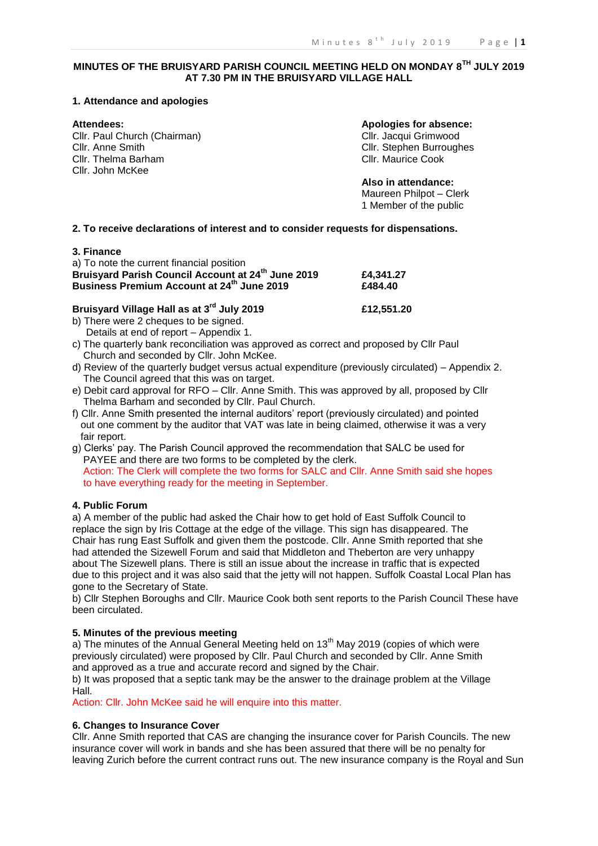## **MINUTES OF THE BRUISYARD PARISH COUNCIL MEETING HELD ON MONDAY 8TH JULY 2019 AT 7.30 PM IN THE BRUISYARD VILLAGE HALL**

#### **1. Attendance and apologies**

Cllr. Paul Church (Chairman) Cllr. Jacqui Grimwood Cllr. Anne Smith Cllr. Stephen Burroughes<br>
Cllr. Thelma Barham Cllr. Stephen Burroughes<br>
Cllr. Maurice Cook Cllr. Thelma Barham Cllr. John McKee

**Attendees: Apologies for absence:**

**Also in attendance:** Maureen Philpot – Clerk 1 Member of the public

#### **2. To receive declarations of interest and to consider requests for dispensations.**

#### **3. Finance**

| a) To note the current financial position                      |           |
|----------------------------------------------------------------|-----------|
| Bruisyard Parish Council Account at 24 <sup>th</sup> June 2019 | £4,341.27 |
| Business Premium Account at 24 <sup>th</sup> June 2019         | £484.40   |

# **Bruisyard Village Hall as at 3rd July 2019 £12,551.20**

- b) There were 2 cheques to be signed. Details at end of report – Appendix 1.
- c) The quarterly bank reconciliation was approved as correct and proposed by Cllr Paul Church and seconded by Cllr. John McKee.
- d) Review of the quarterly budget versus actual expenditure (previously circulated) Appendix 2. The Council agreed that this was on target.
- e) Debit card approval for RFO Cllr. Anne Smith. This was approved by all, proposed by Cllr Thelma Barham and seconded by Cllr. Paul Church.
- f) Cllr. Anne Smith presented the internal auditors' report (previously circulated) and pointed out one comment by the auditor that VAT was late in being claimed, otherwise it was a very fair report.
- g) Clerks' pay. The Parish Council approved the recommendation that SALC be used for PAYEE and there are two forms to be completed by the clerk. Action: The Clerk will complete the two forms for SALC and Cllr. Anne Smith said she hopes to have everything ready for the meeting in September.

#### **4. Public Forum**

a) A member of the public had asked the Chair how to get hold of East Suffolk Council to replace the sign by Iris Cottage at the edge of the village. This sign has disappeared. The Chair has rung East Suffolk and given them the postcode. Cllr. Anne Smith reported that she had attended the Sizewell Forum and said that Middleton and Theberton are very unhappy about The Sizewell plans. There is still an issue about the increase in traffic that is expected due to this project and it was also said that the jetty will not happen. Suffolk Coastal Local Plan has gone to the Secretary of State.

b) Cllr Stephen Boroughs and Cllr. Maurice Cook both sent reports to the Parish Council These have been circulated.

### **5. Minutes of the previous meeting**

a) The minutes of the Annual General Meeting held on 13<sup>th</sup> May 2019 (copies of which were previously circulated) were proposed by Cllr. Paul Church and seconded by Cllr. Anne Smith and approved as a true and accurate record and signed by the Chair.

b) It was proposed that a septic tank may be the answer to the drainage problem at the Village Hall.

Action: Cllr. John McKee said he will enquire into this matter.

#### **6. Changes to Insurance Cover**

Cllr. Anne Smith reported that CAS are changing the insurance cover for Parish Councils. The new insurance cover will work in bands and she has been assured that there will be no penalty for leaving Zurich before the current contract runs out. The new insurance company is the Royal and Sun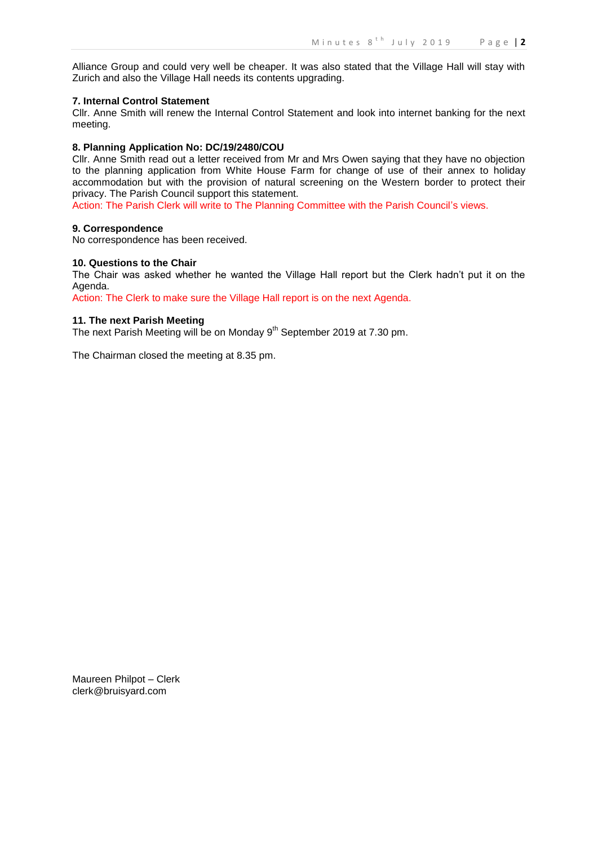Alliance Group and could very well be cheaper. It was also stated that the Village Hall will stay with Zurich and also the Village Hall needs its contents upgrading.

#### **7. Internal Control Statement**

Cllr. Anne Smith will renew the Internal Control Statement and look into internet banking for the next meeting.

#### **8. Planning Application No: DC/19/2480/COU**

Cllr. Anne Smith read out a letter received from Mr and Mrs Owen saying that they have no objection to the planning application from White House Farm for change of use of their annex to holiday accommodation but with the provision of natural screening on the Western border to protect their privacy. The Parish Council support this statement.

Action: The Parish Clerk will write to The Planning Committee with the Parish Council's views.

#### **9. Correspondence**

No correspondence has been received.

#### **10. Questions to the Chair**

The Chair was asked whether he wanted the Village Hall report but the Clerk hadn't put it on the Agenda.

Action: The Clerk to make sure the Village Hall report is on the next Agenda.

#### **11. The next Parish Meeting**

The next Parish Meeting will be on Monday 9<sup>th</sup> September 2019 at 7.30 pm.

The Chairman closed the meeting at 8.35 pm.

Maureen Philpot – Clerk clerk@bruisyard.com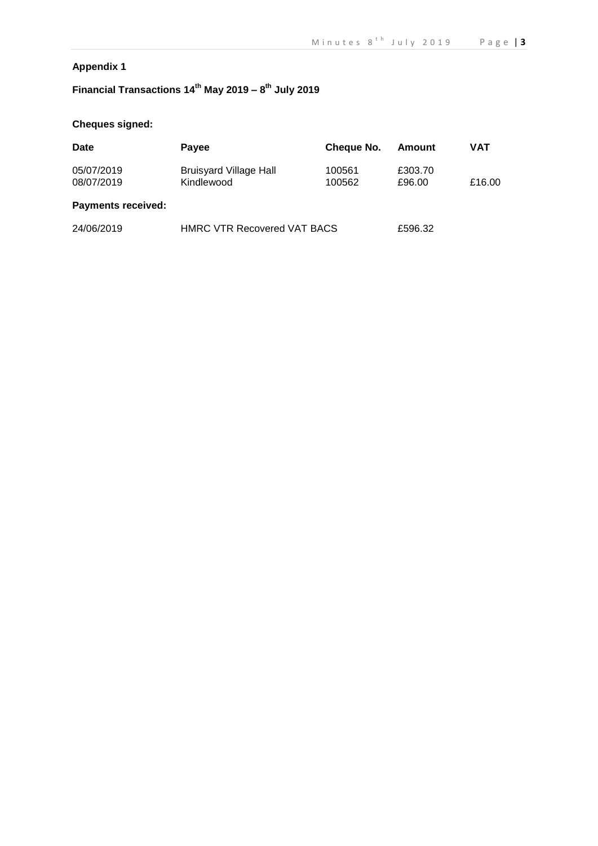# **Appendix 1**

# **Financial Transactions 14th May 2019 – 8 th July 2019**

# **Cheques signed:**

| Date                      | Payee                                       | Cheque No.       | Amount            | VAT    |
|---------------------------|---------------------------------------------|------------------|-------------------|--------|
| 05/07/2019<br>08/07/2019  | <b>Bruisyard Village Hall</b><br>Kindlewood | 100561<br>100562 | £303.70<br>£96.00 | £16.00 |
| <b>Payments received:</b> |                                             |                  |                   |        |
| 24/06/2019                | <b>HMRC VTR Recovered VAT BACS</b>          | £596.32          |                   |        |